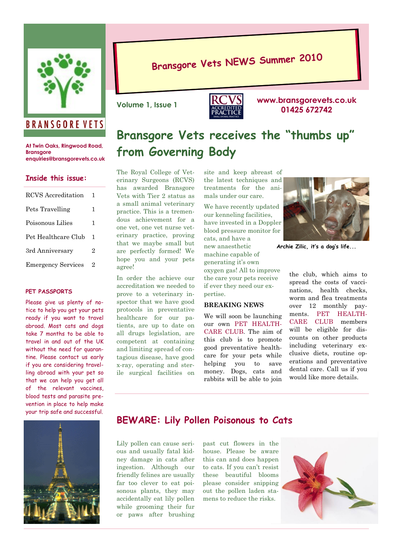

### **BRANSGORE VETS**

**At Twin Oaks, Ringwood Road, Bransgore enquiries@bransgorevets.co.uk**

### **Inside this issue:**

| RCVS Accreditation        | L |
|---------------------------|---|
| Pets Travelling           | 1 |
| Poisonous Lilies          | 1 |
| Pet Healthcare Club       | 1 |
| 3rd Anniversary           | 2 |
| <b>Emergency Services</b> | 2 |
|                           |   |

#### **PET PASSPORTS**

Please give us plenty of notice to help you get your pets ready if you want to travel abroad. Most cats and dogs take 7 months to be able to travel in and out of the UK without the need for quarantine. Please contact us early if you are considering travelling abroad with your pet so that we can help you get all of the relevant vaccines, blood tests and parasite prevention in place to help make your trip safe and successful.

# **Bransgore Vets NEWS Summer <sup>2010</sup>**



**www.bransgorevets.co.uk** Volume 1, Issue 1<br> **1425 672742 1425 672742** 

## **Bransgore Vets receives the "thumbs up" from Governing Body**

The Royal College of Veterinary Surgeons (RCVS) has awarded Bransgore Vets with Tier 2 status as a small animal veterinary practice. This is a tremendous achievement for a one vet, one vet nurse veterinary practice, proving that we maybe small but are perfectly formed! We hope you and your pets agree!

In order the achieve our accreditation we needed to prove to a veterinary inspector that we have good protocols in preventative healthcare for our patients, are up to date on all drugs legislation, are competent at containing and limiting spread of contagious disease, have good x-ray, operating and sterile surgical facilities on

site and keep abreast of the latest techniques and treatments for the animals under our care.

We have recently updated our kenneling facilities, have invested in a Doppler blood pressure monitor for cats, and have a new anaesthetic machine capable of generating it's own oxygen gas! All to improve the care your pets receive if ever they need our expertise.

### **BREAKING NEWS**

We will soon be launching our own PET HEALTH-CARE CLUB. The aim of this club is to promote good preventative healthcare for your pets while helping you to save money. Dogs, cats and rabbits will be able to join



**Archie Zilic, it's a dog's life...**

the club, which aims to spread the costs of vaccinations, health checks, worm and flea treatments over 12 monthly payments. PET HEALTH-CARE CLUB members will be eligible for discounts on other products including veterinary exclusive diets, routine operations and preventative dental care. Call us if you would like more details.



### **BEWARE: Lily Pollen Poisonous to Cats**

Lily pollen can cause serious and usually fatal kidney damage in cats after ingestion. Although our friendly felines are usually far too clever to eat poisonous plants, they may accidentally eat lily pollen while grooming their fur or paws after brushing

past cut flowers in the house. Please be aware this can and does happen to cats. If you can't resist these beautiful blooms please consider snipping out the pollen laden stamens to reduce the risks.